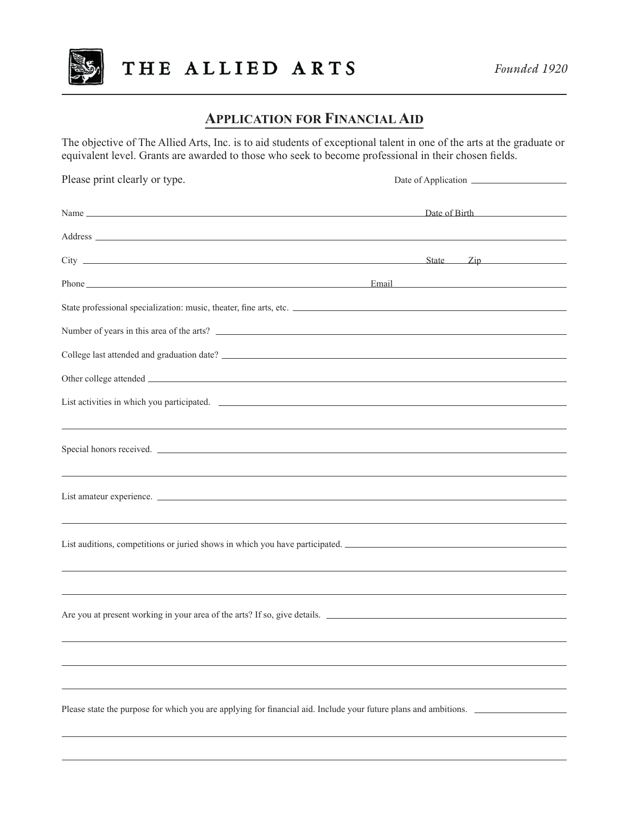

## **APPLICATION FOR FINANCIAL AID**

The objective of The Allied Arts, Inc. is to aid students of exceptional talent in one of the arts at the graduate or equivalent level. Grants are awarded to those who seek to become professional in their chosen fields.

| Please print clearly or type.                                                                                                                                    |  |  |
|------------------------------------------------------------------------------------------------------------------------------------------------------------------|--|--|
|                                                                                                                                                                  |  |  |
|                                                                                                                                                                  |  |  |
|                                                                                                                                                                  |  |  |
|                                                                                                                                                                  |  |  |
| State professional specialization: music, theater, fine arts, etc.                                                                                               |  |  |
| Number of years in this area of the arts?                                                                                                                        |  |  |
|                                                                                                                                                                  |  |  |
|                                                                                                                                                                  |  |  |
| List activities in which you participated.                                                                                                                       |  |  |
| Special honors received.                                                                                                                                         |  |  |
|                                                                                                                                                                  |  |  |
| ,我们也不会有什么。""我们的人,我们也不会有什么?""我们的人,我们也不会有什么?""我们的人,我们也不会有什么?""我们的人,我们也不会有什么?""我们的人<br>List auditions, competitions or juried shows in which you have participated. |  |  |
| ,我们也不会有什么。""我们的人,我们也不会有什么?""我们的人,我们也不会有什么?""我们的人,我们也不会有什么?""我们的人,我们也不会有什么?""我们的人                                                                                 |  |  |
| Are you at present working in your area of the arts? If so, give details.                                                                                        |  |  |
|                                                                                                                                                                  |  |  |
|                                                                                                                                                                  |  |  |
| Please state the purpose for which you are applying for financial aid. Include your future plans and ambitions.                                                  |  |  |